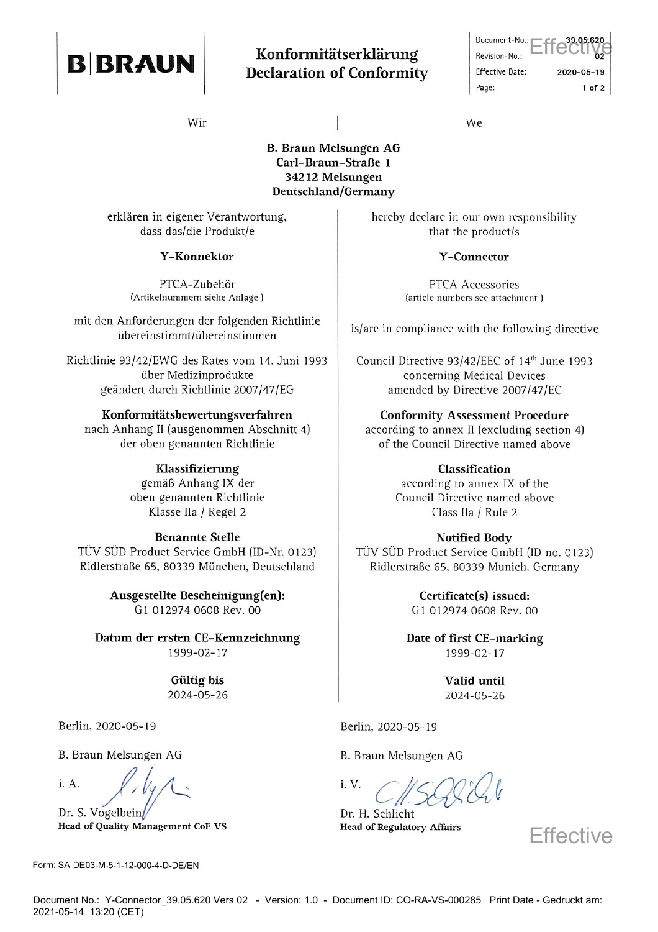

## Konformitätserklärung **Declaration of Conformity**

Document-No.: Revision-No.: **Effective Date:** 2020-05-19 Page:  $1$  of  $2$ 

Wir

## **B. Braun Melsungen AG** Carl-Braun-Straße 1 34212 Melsungen Deutschland/Germany

erklären in eigener Verantwortung, dass das/die Produkt/e

#### **Y-Konnektor**

PTCA-Zubehör (Artikelnummern siehe Anlage)

mit den Anforderungen der folgenden Richtlinie übereinstimmt/übereinstimmen

Richtlinie 93/42/EWG des Rates vom 14. Juni 1993 über Medizinprodukte geändert durch Richtlinie 2007/47/EG

#### Konformitätsbewertungsverfahren

nach Anhang II (ausgenommen Abschnitt 4) der oben genannten Richtlinie

#### Klassifizierung

gemäß Anhang IX der oben genannten Richtlinie Klasse IIa / Regel 2

#### **Benannte Stelle**

TÜV SÜD Product Service GmbH (ID-Nr. 0123) Ridlerstraße 65, 80339 München, Deutschland

> Ausgestellte Bescheinigung(en): G1 012974 0608 Rev. 00

Datum der ersten CE-Kennzeichnung 1999-02-17

> Gültig bis 2024-05-26

Berlin, 2020-05-19

B. Braun Melsungen AG

i. A.

Dr. S. Vogelbein **Head of Quality Management CoE VS** 

Form: SA-DE03-M-5-1-12-000-4-D-DE/EN

We

hereby declare in our own responsibility that the product/s

#### **Y-Connector**

PTCA Accessories (article numbers see attachment)

is/are in compliance with the following directive

Council Directive 93/42/EEC of 14<sup>th</sup> June 1993 concerning Medical Devices amended by Directive 2007/47/EC

#### **Conformity Assessment Procedure**

according to annex II (excluding section 4) of the Council Directive named above

> Classification according to annex IX of the Council Directive named above Class IIa / Rule 2

**Notified Body** TÜV SÜD Product Service GmbH (ID no. 0123) Ridlerstraße 65, 80339 Munich, Germany

> Certificate(s) issued: G1 012974 0608 Rev. 00

Date of first CE-marking 1999-02-17

> Valid until 2024-05-26

Berlin, 2020-05-19

B. Braun Melsungen AG

 $i_{\cdot}$  V.

Dr. H. Schlicht **Head of Regulatory Affairs** 

**Effective**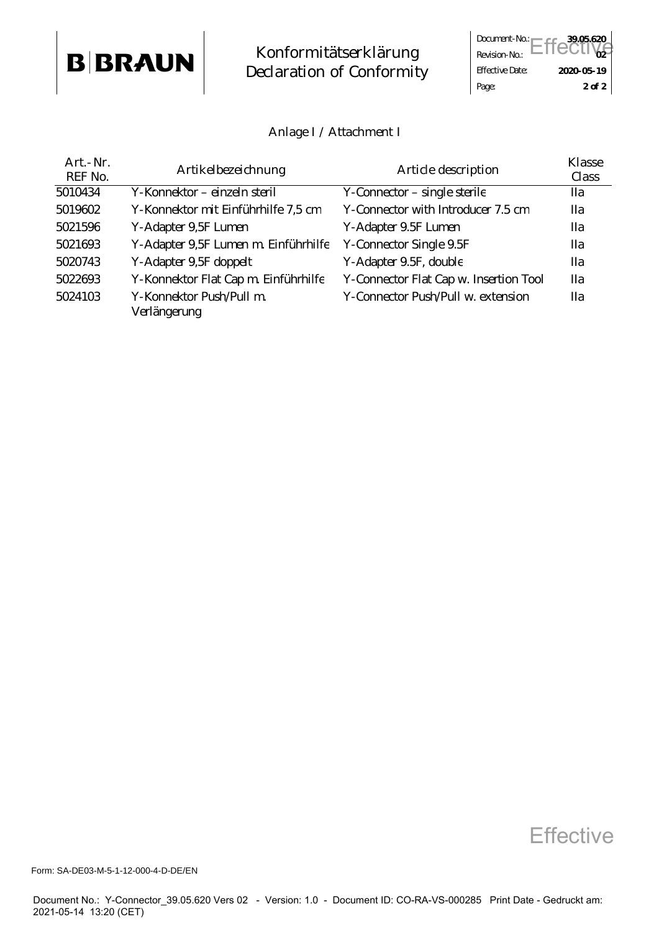## **B BRAUN Konformitätserklärung**<br> **B BRAUN Declaration of Conformit Declaration of Conformity**

|                        | Document-No.: Effective |
|------------------------|-------------------------|
|                        |                         |
| <b>Effective Date:</b> | 2020-05-19              |
| Page:                  | $2$ of $2$              |

### **Anlage I / Attachment I**

| Art.-Nr.<br>REF No. | <b>Artikelbezeichnung</b>                | <b>Article description</b>             | <b>Klasse</b><br><b>Class</b> |
|---------------------|------------------------------------------|----------------------------------------|-------------------------------|
| 5010434             | Y-Konnektor – einzeln steril             | Y-Connector – single sterile           | <b>IIa</b>                    |
| 5019602             | Y-Konnektor mit Einführhilfe 7,5 cm      | Y-Connector with Introducer 7.5 cm     | Пa                            |
| 5021596             | Y-Adapter 9,5F Lumen                     | Y-Adapter 9.5F Lumen                   | <b>IIa</b>                    |
| 5021693             | Y-Adapter 9,5F Lumen m. Einführhilfe     | <b>Y-Connector Single 9.5F</b>         | Пa                            |
| 5020743             | Y-Adapter 9,5F doppelt                   | Y-Adapter 9.5F, double                 | <b>IIa</b>                    |
| 5022693             | Y-Konnektor Flat Cap m. Einführhilfe     | Y-Connector Flat Cap w. Insertion Tool | <b>IIa</b>                    |
| 5024103             | Y-Konnektor Push/Pull m.<br>Verlängerung | Y-Connector Push/Pull w. extension     | <b>IIa</b>                    |

**Effective** 

Form: SA-DE03-M-5-1-12-000-4-D-DE/EN